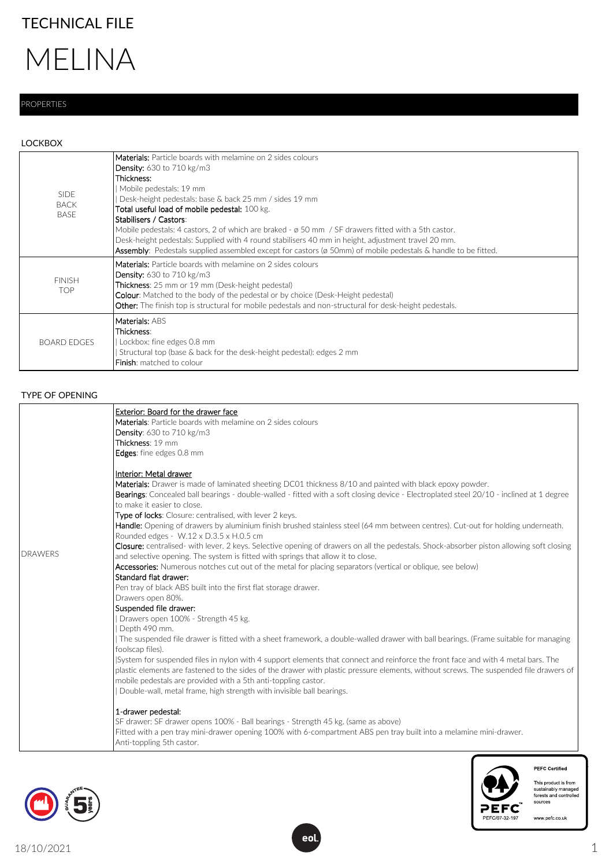# TECHNICAL FILE

# MELINA

## PROPERTIES

### LOCKBOX

| <b>SIDE</b><br><b>BACK</b><br><b>BASE</b> | <b>Materials:</b> Particle boards with melamine on 2 sides colours<br><b>Density:</b> 630 to 710 kg/m3<br>Thickness:<br>Mobile pedestals: 19 mm<br>Desk-height pedestals: base & back 25 mm / sides 19 mm<br>Total useful load of mobile pedestal: 100 kg.<br>Stabilisers / Castors:<br>Mobile pedestals: 4 castors, 2 of which are braked - $\sigma$ 50 mm / SF drawers fitted with a 5th castor.<br>Desk-height pedestals: Supplied with 4 round stabilisers 40 mm in height, adjustment travel 20 mm.<br><b>Assembly:</b> Pedestals supplied assembled except for castors ( $\alpha$ 50mm) of mobile pedestals & handle to be fitted. |
|-------------------------------------------|------------------------------------------------------------------------------------------------------------------------------------------------------------------------------------------------------------------------------------------------------------------------------------------------------------------------------------------------------------------------------------------------------------------------------------------------------------------------------------------------------------------------------------------------------------------------------------------------------------------------------------------|
| <b>FINISH</b><br><b>TOP</b>               | <b>Materials:</b> Particle boards with melamine on 2 sides colours<br><b>Density:</b> 630 to 710 kg/m3<br><b>Thickness</b> : 25 mm or 19 mm (Desk-height pedestal)<br><b>Colour:</b> Matched to the body of the pedestal or by choice (Desk-Height pedestal)<br><b>Other:</b> The finish top is structural for mobile pedestals and non-structural for desk-height pedestals.                                                                                                                                                                                                                                                            |
| <b>BOARD EDGES</b>                        | Materials: ABS<br>Thickness:<br>Lockbox: fine edges 0.8 mm<br>Structural top (base & back for the desk-height pedestal): edges 2 mm<br>Finish: matched to colour                                                                                                                                                                                                                                                                                                                                                                                                                                                                         |

#### TYPE OF OPENING

|                | Exterior: Board for the drawer face                                                                                                                                        |
|----------------|----------------------------------------------------------------------------------------------------------------------------------------------------------------------------|
|                | Materials: Particle boards with melamine on 2 sides colours                                                                                                                |
|                | <b>Density:</b> 630 to 710 kg/m3                                                                                                                                           |
|                | Thickness: 19 mm                                                                                                                                                           |
|                | Edges: fine edges 0.8 mm                                                                                                                                                   |
|                | Interior: Metal drawer                                                                                                                                                     |
|                | Materials: Drawer is made of laminated sheeting DC01 thickness 8/10 and painted with black epoxy powder.                                                                   |
|                | Bearings: Concealed ball bearings - double-walled - fitted with a soft closing device - Electroplated steel 20/10 - inclined at 1 degree                                   |
|                | to make it easier to close.                                                                                                                                                |
|                | Type of locks: Closure: centralised, with lever 2 keys.                                                                                                                    |
|                | Handle: Opening of drawers by aluminium finish brushed stainless steel (64 mm between centres). Cut-out for holding underneath.<br>Rounded edges - W.12 x D.3.5 x H.0.5 cm |
|                | Closure: centralised- with lever. 2 keys. Selective opening of drawers on all the pedestals. Shock-absorber piston allowing soft closing                                   |
| <b>DRAWERS</b> | and selective opening. The system is fitted with springs that allow it to close.                                                                                           |
|                | Accessories: Numerous notches cut out of the metal for placing separators (vertical or oblique, see below)                                                                 |
|                | Standard flat drawer:                                                                                                                                                      |
|                | Pen tray of black ABS built into the first flat storage drawer.                                                                                                            |
|                | Drawers open 80%.                                                                                                                                                          |
|                | Suspended file drawer:                                                                                                                                                     |
|                | Drawers open 100% - Strength 45 kg.                                                                                                                                        |
|                | Depth 490 mm.                                                                                                                                                              |
|                | The suspended file drawer is fitted with a sheet framework, a double-walled drawer with ball bearings. (Frame suitable for managing<br>foolscap files).                    |
|                | System for suspended files in nylon with 4 support elements that connect and reinforce the front face and with 4 metal bars. The                                           |
|                | plastic elements are fastened to the sides of the drawer with plastic pressure elements, without screws. The suspended file drawers of                                     |
|                | mobile pedestals are provided with a 5th anti-toppling castor.                                                                                                             |
|                | Double-wall, metal frame, high strength with invisible ball bearings.                                                                                                      |
|                | 1-drawer pedestal:                                                                                                                                                         |
|                | SF drawer: SF drawer opens 100% - Ball bearings - Strength 45 kg. (same as above)                                                                                          |
|                | Fitted with a pen tray mini-drawer opening 100% with 6-compartment ABS pen tray built into a melamine mini-drawer.                                                         |
|                | Anti-toppling 5th castor.                                                                                                                                                  |





PEFC Certified This product is from<br>sustainably managed<br>forests and controlled<br>sources

www.pefc.co.uk

1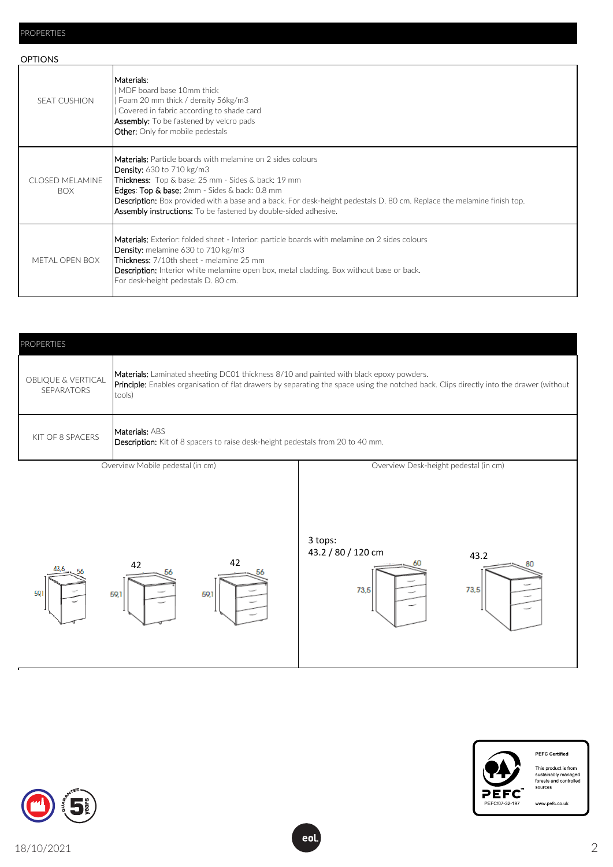| <b>OPTIONS</b>                       |                                                                                                                                                                                                                                                                                                                                                                                                                                 |  |  |  |
|--------------------------------------|---------------------------------------------------------------------------------------------------------------------------------------------------------------------------------------------------------------------------------------------------------------------------------------------------------------------------------------------------------------------------------------------------------------------------------|--|--|--|
| <b>SEAT CUSHION</b>                  | Materials:<br>MDF board base 10mm thick<br>Foam 20 mm thick / density 56kg/m3<br>Covered in fabric according to shade card<br><b>Assembly:</b> To be fastened by velcro pads<br><b>Other:</b> Only for mobile pedestals                                                                                                                                                                                                         |  |  |  |
| <b>CLOSED MELAMINE</b><br><b>BOX</b> | <b>Materials:</b> Particle boards with melamine on 2 sides colours<br><b>Density:</b> 630 to 710 kg/m3<br><b>Thickness:</b> Top & base: 25 mm - Sides & back: 19 mm<br>Edges: Top & base: 2mm - Sides & back: 0.8 mm<br><b>Description:</b> Box provided with a base and a back. For desk-height pedestals D. 80 cm. Replace the melamine finish top.<br><b>Assembly instructions:</b> To be fastened by double-sided adhesive. |  |  |  |
| METAL OPEN BOX                       | Materials: Exterior: folded sheet - Interior: particle boards with melamine on 2 sides colours<br><b>Density:</b> melamine 630 to 710 kg/m3<br><b>Thickness:</b> 7/10th sheet - melamine 25 mm<br><b>Description:</b> Interior white melamine open box, metal cladding. Box without base or back.<br>For desk-height pedestals D. 80 cm.                                                                                        |  |  |  |





**PEFC Certified** This product is from<br>sustainably managed<br>forests and controlled<br>sources

www.pefc.co.uk

2